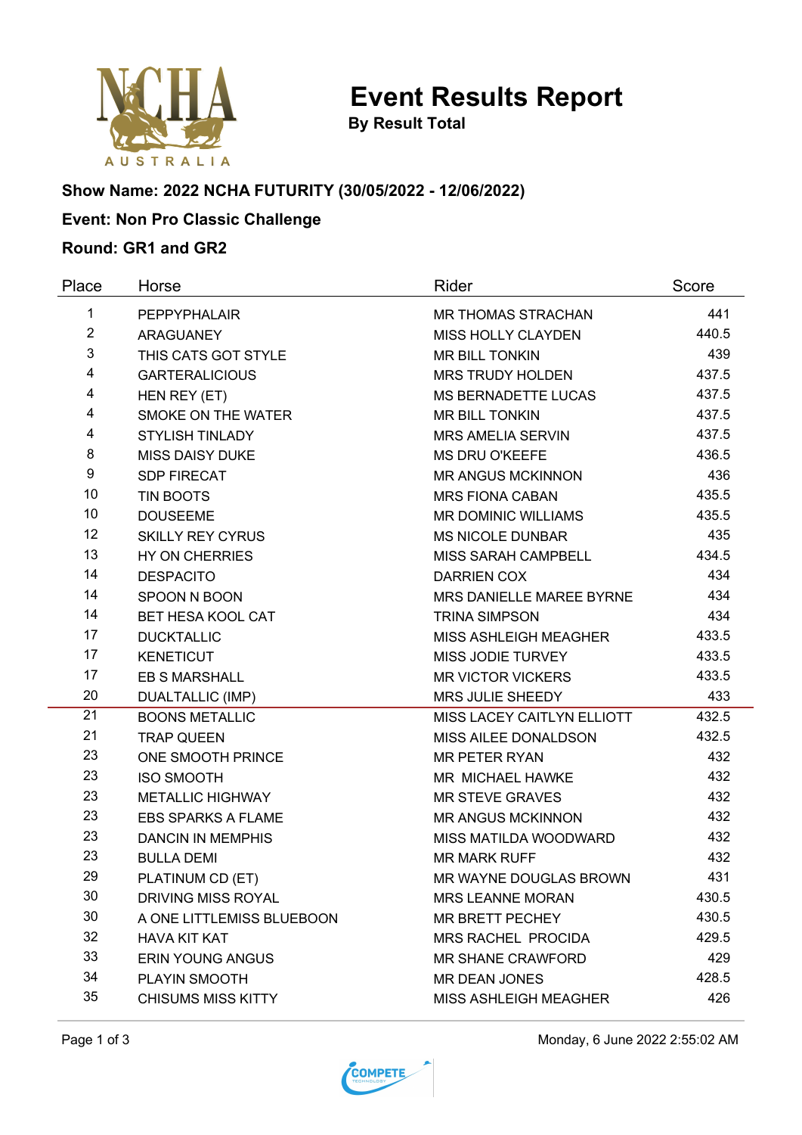

**By Result Total**

# **Show Name: 2022 NCHA FUTURITY (30/05/2022 - 12/06/2022)**

## **Event: Non Pro Classic Challenge**

#### **Round: GR1 and GR2**

| Place          | Horse                     | Rider                        | Score |
|----------------|---------------------------|------------------------------|-------|
| 1              | PEPPYPHALAIR              | <b>MR THOMAS STRACHAN</b>    | 441   |
| $\overline{2}$ | <b>ARAGUANEY</b>          | <b>MISS HOLLY CLAYDEN</b>    | 440.5 |
| 3              | THIS CATS GOT STYLE       | <b>MR BILL TONKIN</b>        | 439   |
| 4              | <b>GARTERALICIOUS</b>     | <b>MRS TRUDY HOLDEN</b>      | 437.5 |
| 4              | HEN REY (ET)              | <b>MS BERNADETTE LUCAS</b>   | 437.5 |
| 4              | SMOKE ON THE WATER        | <b>MR BILL TONKIN</b>        | 437.5 |
| 4              | <b>STYLISH TINLADY</b>    | <b>MRS AMELIA SERVIN</b>     | 437.5 |
| 8              | <b>MISS DAISY DUKE</b>    | <b>MS DRU O'KEEFE</b>        | 436.5 |
| 9              | <b>SDP FIRECAT</b>        | <b>MR ANGUS MCKINNON</b>     | 436   |
| 10             | <b>TIN BOOTS</b>          | <b>MRS FIONA CABAN</b>       | 435.5 |
| 10             | <b>DOUSEEME</b>           | <b>MR DOMINIC WILLIAMS</b>   | 435.5 |
| 12             | <b>SKILLY REY CYRUS</b>   | <b>MS NICOLE DUNBAR</b>      | 435   |
| 13             | <b>HY ON CHERRIES</b>     | MISS SARAH CAMPBELL          | 434.5 |
| 14             | <b>DESPACITO</b>          | <b>DARRIEN COX</b>           | 434   |
| 14             | SPOON N BOON              | MRS DANIELLE MAREE BYRNE     | 434   |
| 14             | <b>BET HESA KOOL CAT</b>  | <b>TRINA SIMPSON</b>         | 434   |
| 17             | <b>DUCKTALLIC</b>         | <b>MISS ASHLEIGH MEAGHER</b> | 433.5 |
| 17             | <b>KENETICUT</b>          | <b>MISS JODIE TURVEY</b>     | 433.5 |
| 17             | <b>EB S MARSHALL</b>      | <b>MR VICTOR VICKERS</b>     | 433.5 |
| 20             | <b>DUALTALLIC (IMP)</b>   | MRS JULIE SHEEDY             | 433   |
| 21             | <b>BOONS METALLIC</b>     | MISS LACEY CAITLYN ELLIOTT   | 432.5 |
| 21             | <b>TRAP QUEEN</b>         | MISS AILEE DONALDSON         | 432.5 |
| 23             | ONE SMOOTH PRINCE         | <b>MR PETER RYAN</b>         | 432   |
| 23             | <b>ISO SMOOTH</b>         | MR MICHAEL HAWKE             | 432   |
| 23             | <b>METALLIC HIGHWAY</b>   | <b>MR STEVE GRAVES</b>       | 432   |
| 23             | <b>EBS SPARKS A FLAME</b> | <b>MR ANGUS MCKINNON</b>     | 432   |
| 23             | <b>DANCIN IN MEMPHIS</b>  | MISS MATILDA WOODWARD        | 432   |
| 23             | <b>BULLA DEMI</b>         | <b>MR MARK RUFF</b>          | 432   |
| 29             | PLATINUM CD (ET)          | MR WAYNE DOUGLAS BROWN       | 431   |
| 30             | DRIVING MISS ROYAL        | <b>MRS LEANNE MORAN</b>      | 430.5 |
| 30             | A ONE LITTLEMISS BLUEBOON | MR BRETT PECHEY              | 430.5 |
| 32             | <b>HAVA KIT KAT</b>       | <b>MRS RACHEL PROCIDA</b>    | 429.5 |
| 33             | <b>ERIN YOUNG ANGUS</b>   | <b>MR SHANE CRAWFORD</b>     | 429   |
| 34             | PLAYIN SMOOTH             | <b>MR DEAN JONES</b>         | 428.5 |
| 35             | <b>CHISUMS MISS KITTY</b> | <b>MISS ASHLEIGH MEAGHER</b> | 426   |

Page 1 of 3 Monday, 6 June 2022 2:55:02 AM

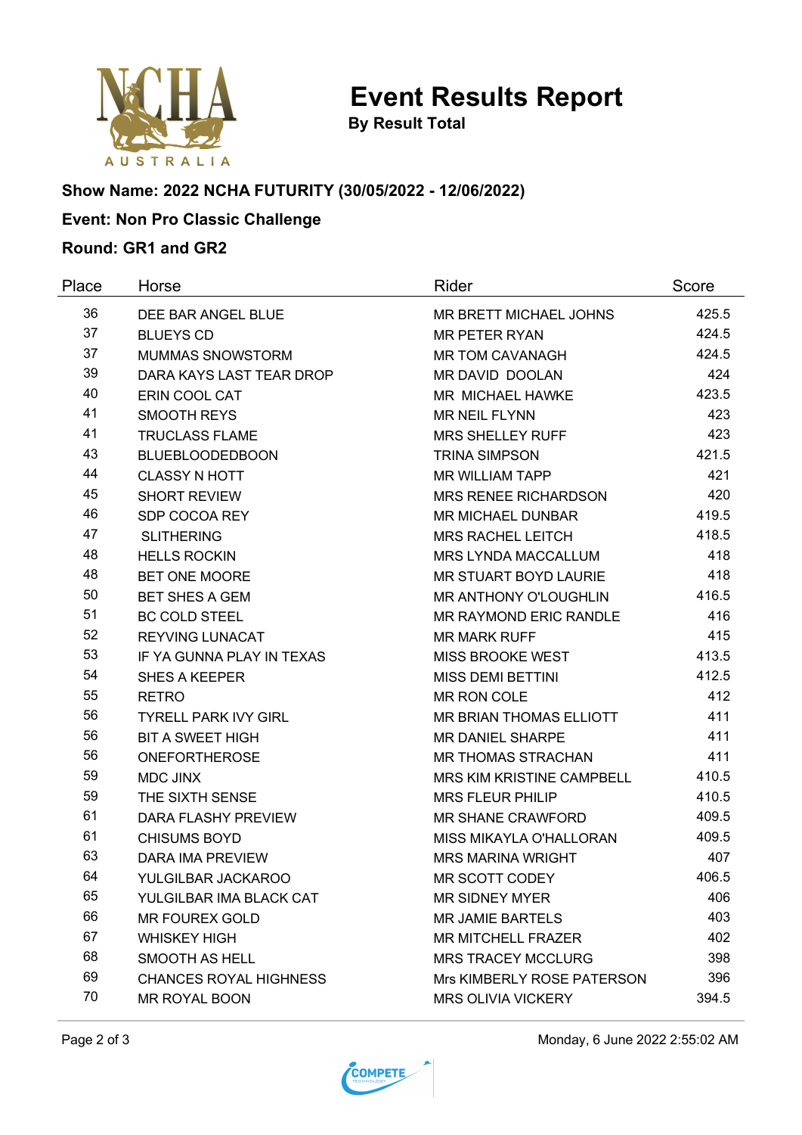

**By Result Total**

# **Show Name: 2022 NCHA FUTURITY (30/05/2022 - 12/06/2022)**

## **Event: Non Pro Classic Challenge**

#### **Round: GR1 and GR2**

| Place | Horse                         | Rider                         | Score |
|-------|-------------------------------|-------------------------------|-------|
| 36    | DEE BAR ANGEL BLUE            | MR BRETT MICHAEL JOHNS        | 425.5 |
| 37    | <b>BLUEYS CD</b>              | <b>MR PETER RYAN</b>          | 424.5 |
| 37    | <b>MUMMAS SNOWSTORM</b>       | <b>MR TOM CAVANAGH</b>        | 424.5 |
| 39    | DARA KAYS LAST TEAR DROP      | MR DAVID DOOLAN               | 424   |
| 40    | ERIN COOL CAT                 | MR MICHAEL HAWKE              | 423.5 |
| 41    | <b>SMOOTH REYS</b>            | <b>MR NEIL FLYNN</b>          | 423   |
| 41    | <b>TRUCLASS FLAME</b>         | <b>MRS SHELLEY RUFF</b>       | 423   |
| 43    | <b>BLUEBLOODEDBOON</b>        | <b>TRINA SIMPSON</b>          | 421.5 |
| 44    | <b>CLASSY N HOTT</b>          | <b>MR WILLIAM TAPP</b>        | 421   |
| 45    | <b>SHORT REVIEW</b>           | <b>MRS RENEE RICHARDSON</b>   | 420   |
| 46    | SDP COCOA REY                 | <b>MR MICHAEL DUNBAR</b>      | 419.5 |
| 47    | <b>SLITHERING</b>             | <b>MRS RACHEL LEITCH</b>      | 418.5 |
| 48    | <b>HELLS ROCKIN</b>           | <b>MRS LYNDA MACCALLUM</b>    | 418   |
| 48    | <b>BET ONE MOORE</b>          | <b>MR STUART BOYD LAURIE</b>  | 418   |
| 50    | <b>BET SHES A GEM</b>         | <b>MR ANTHONY O'LOUGHLIN</b>  | 416.5 |
| 51    | <b>BC COLD STEEL</b>          | <b>MR RAYMOND ERIC RANDLE</b> | 416   |
| 52    | <b>REYVING LUNACAT</b>        | <b>MR MARK RUFF</b>           | 415   |
| 53    | IF YA GUNNA PLAY IN TEXAS     | MISS BROOKE WEST              | 413.5 |
| 54    | <b>SHES A KEEPER</b>          | <b>MISS DEMI BETTINI</b>      | 412.5 |
| 55    | <b>RETRO</b>                  | MR RON COLE                   | 412   |
| 56    | <b>TYRELL PARK IVY GIRL</b>   | MR BRIAN THOMAS ELLIOTT       | 411   |
| 56    | <b>BIT A SWEET HIGH</b>       | MR DANIEL SHARPE              | 411   |
| 56    | <b>ONEFORTHEROSE</b>          | <b>MR THOMAS STRACHAN</b>     | 411   |
| 59    | <b>MDC JINX</b>               | MRS KIM KRISTINE CAMPBELL     | 410.5 |
| 59    | THE SIXTH SENSE               | <b>MRS FLEUR PHILIP</b>       | 410.5 |
| 61    | <b>DARA FLASHY PREVIEW</b>    | <b>MR SHANE CRAWFORD</b>      | 409.5 |
| 61    | <b>CHISUMS BOYD</b>           | MISS MIKAYLA O'HALLORAN       | 409.5 |
| 63    | <b>DARA IMA PREVIEW</b>       | <b>MRS MARINA WRIGHT</b>      | 407   |
| 64    | YULGILBAR JACKAROO            | MR SCOTT CODEY                | 406.5 |
| 65    | YULGILBAR IMA BLACK CAT       | <b>MR SIDNEY MYER</b>         | 406   |
| 66    | <b>MR FOUREX GOLD</b>         | <b>MR JAMIE BARTELS</b>       | 403   |
| 67    | <b>WHISKEY HIGH</b>           | <b>MR MITCHELL FRAZER</b>     | 402   |
| 68    | SMOOTH AS HELL                | <b>MRS TRACEY MCCLURG</b>     | 398   |
| 69    | <b>CHANCES ROYAL HIGHNESS</b> | Mrs KIMBERLY ROSE PATERSON    | 396   |
| 70    | MR ROYAL BOON                 | <b>MRS OLIVIA VICKERY</b>     | 394.5 |